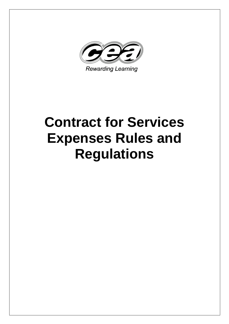

# **Contract for Services Expenses Rules and Regulations**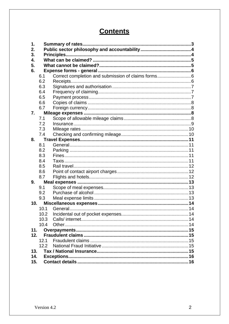# **Contents**

| 1.  |      |                                                    |  |  |  |
|-----|------|----------------------------------------------------|--|--|--|
| 2.  |      |                                                    |  |  |  |
| 3.  |      |                                                    |  |  |  |
| 4.  |      |                                                    |  |  |  |
| 5.  |      |                                                    |  |  |  |
| 6.  |      |                                                    |  |  |  |
|     | 6.1  | Correct completion and submission of claims forms6 |  |  |  |
|     | 6.2  |                                                    |  |  |  |
|     | 6.3  |                                                    |  |  |  |
|     | 6.4  |                                                    |  |  |  |
|     | 6.5  |                                                    |  |  |  |
|     | 6.6  |                                                    |  |  |  |
|     | 6.7  |                                                    |  |  |  |
| 7.  |      |                                                    |  |  |  |
|     | 7.1  |                                                    |  |  |  |
|     | 7.2  |                                                    |  |  |  |
|     | 7.3  |                                                    |  |  |  |
|     | 7.4  |                                                    |  |  |  |
| 8.  |      |                                                    |  |  |  |
|     | 8.1  |                                                    |  |  |  |
|     | 8.2  |                                                    |  |  |  |
|     | 8.3  |                                                    |  |  |  |
|     | 8.4  |                                                    |  |  |  |
|     | 8.5  |                                                    |  |  |  |
|     | 8.6  |                                                    |  |  |  |
|     | 8.7  |                                                    |  |  |  |
| 9.  |      |                                                    |  |  |  |
|     | 9.1  |                                                    |  |  |  |
|     | 9.2  |                                                    |  |  |  |
|     | 9.3  |                                                    |  |  |  |
| 10. |      |                                                    |  |  |  |
|     | 10.1 |                                                    |  |  |  |
|     | 10.2 |                                                    |  |  |  |
|     | 10.3 |                                                    |  |  |  |
|     | 10.4 |                                                    |  |  |  |
| 11. |      |                                                    |  |  |  |
| 12. |      |                                                    |  |  |  |
|     | 12.1 |                                                    |  |  |  |
|     | 12.2 |                                                    |  |  |  |
| 13. |      |                                                    |  |  |  |
|     | 14.  |                                                    |  |  |  |
|     | 15.  |                                                    |  |  |  |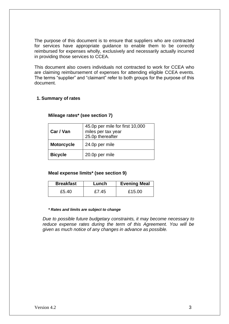The purpose of this document is to ensure that suppliers who are contracted for services have appropriate guidance to enable them to be correctly reimbursed for expenses wholly, exclusively and necessarily actually incurred in providing those services to CCEA.

This document also covers individuals not contracted to work for CCEA who are claiming reimbursement of expenses for attending eligible CCEA events. The terms "supplier" and "claimant" refer to both groups for the purpose of this document.

# **1. Summary of rates**

| Car / Van         | 45.0p per mile for first 10,000<br>miles per tax year<br>25.0p thereafter |
|-------------------|---------------------------------------------------------------------------|
| <b>Motorcycle</b> | 24.0p per mile                                                            |
| <b>Bicycle</b>    | 20.0p per mile                                                            |

### **Mileage rates\* (see section 7)**

# **Meal expense limits\* (see section 9)**

| <b>Breakfast</b> | Lunch | <b>Evening Meal</b> |
|------------------|-------|---------------------|
| £5.40            | £7.45 | £15.00              |

#### *\* Rates and limits are subject to change*

*Due to possible future budgetary constraints, it may become necessary to reduce expense rates during the term of this Agreement. You will be given as much notice of any changes in advance as possible.*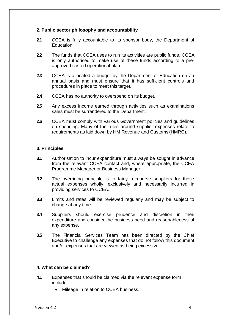#### **2. Public sector philosophy and accountability**

- **2.1** CCEA is fully accountable to its sponsor body, the Department of Education.
- **2.2** The funds that CCEA uses to run its activities are public funds. CCEA is only authorised to make use of these funds according to a preapproved costed operational plan.
- **2.3** CCEA is allocated a budget by the Department of Education on an annual basis and must ensure that it has sufficient controls and procedures in place to meet this target.
- **2.4** CCEA has no authority to overspend on its budget.
- **2.5** Any excess income earned through activities such as examinations sales must be surrendered to the Department.
- **2.6** CCEA must comply with various Government policies and guidelines on spending. Many of the rules around supplier expenses relate to requirements as laid down by HM Revenue and Customs (HMRC).

# **3. Principles**

- **3.1** Authorisation to incur expenditure must always be sought in advance from the relevant CCEA contact and, where appropriate, the CCEA Programme Manager or Business Manager.
- **3.2** The overriding principle is to fairly reimburse suppliers for those actual expenses wholly, exclusively and necessarily incurred in providing services to CCEA.
- **3.3** Limits and rates will be reviewed regularly and may be subject to change at any time.
- **3.4** Suppliers should exercise prudence and discretion in their expenditure and consider the business need and reasonableness of any expense.
- **3.5** The Financial Services Team has been directed by the Chief Executive to challenge any expenses that do not follow this document and/or expenses that are viewed as being excessive.

## **4. What can be claimed?**

- **4.1** Expenses that should be claimed via the relevant expense form include:
	- Mileage in relation to CCEA business.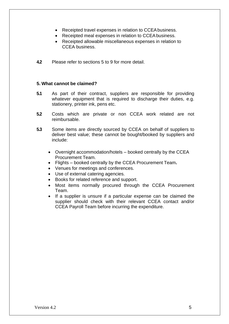- Receipted travel expenses in relation to CCEAbusiness.
- Receipted meal expenses in relation to CCEAbusiness.
- Receipted allowable miscellaneous expenses in relation to CCEA business.
- **4.2** Please refer to sections 5 to 9 for more detail.

# **5. What cannot be claimed?**

- **5.1** As part of their contract, suppliers are responsible for providing whatever equipment that is required to discharge their duties, e.g. stationery, printer ink, pens etc.
- **5.2** Costs which are private or non CCEA work related are not reimbursable.
- **5.3** Some items are directly sourced by CCEA on behalf of suppliers to deliver best value; these cannot be bought/booked by suppliers and include:
	- Overnight accommodation/hotels booked centrally by the CCEA Procurement Team.
	- Flights booked centrally by the CCEA Procurement Team**.**
	- Venues for meetings and conferences.
	- Use of external catering agencies.
	- Books for related reference and support.
	- Most items normally procured through the CCEA Procurement Team.
	- If a supplier is unsure if a particular expense can be claimed the supplier should check with their relevant CCEA contact and/or CCEA Payroll Team before incurring the expenditure.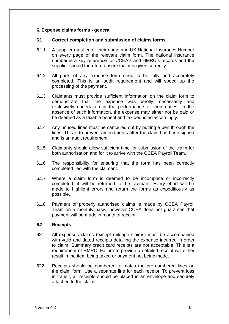### **6. Expense claims forms - general**

#### **6.1 Correct completion and submission of claims forms**

- 6.1.1 A supplier must enter their name and UK National Insurance Number on every page of the relevant claim form. The national insurance number is a key reference for CCEA's and HMRC's records and the supplier should therefore ensure that it is given correctly.
- 6.1.2 All parts of any expense form need to be fully and accurately completed. This is an audit requirement and will speed up the processing of the payment.
- 6.1.3 Claimants must provide sufficient information on the claim form to demonstrate that the expense was wholly, necessarily and exclusively undertaken in the performance of their duties. In the absence of such information, the expense may either not be paid or be deemed as a taxable benefit and tax deducted accordingly.
- 6.1.4 Any unused lines must be cancelled out by putting a pen through the lines. This is to prevent amendments after the claim has been signed and is an audit requirement.
- 6.1.5 Claimants should allow sufficient time for submission of the claim for both authorisation and for it to arrive with the CCEA Payroll Team.
- 6.1.6 The responsibility for ensuring that the form has been correctly completed lies with the claimant.
- 6.1.7 Where a claim form is deemed to be incomplete or incorrectly completed, it will be returned to the claimant. Every effort will be made to highlight errors and return the forms as expeditiously as possible.
- 6.1.8 Payment of properly authorised claims is made by CCEA Payroll Team on a monthly basis, however CCEA does not guarantee that payment will be made in month of receipt.

#### **6.2 Receipts**

- 621 All expenses claims (except mileage claims) must be accompanied with valid and dated receipts detailing the expense incurred in order to claim. Summary credit card receipts are not acceptable. This is a requirement of HMRC. Failure to provide a detailed receipt will either result in the item being taxed or payment not being made.
- 622 Receipts should be numbered to match the pre-numbered lines on the claim form. Use a separate line for each receipt. To prevent loss in transit, all receipts should be placed in an envelope and securely attached to the claim.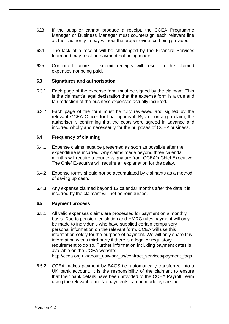- 623 If the supplier cannot produce a receipt, the CCEA Programme Manager or Business Manager must countersign each relevant line as their authority to pay without the proper evidence being provided.
- 624 The lack of a receipt will be challenged by the Financial Services team and may result in payment not being made.
- 625 Continued failure to submit receipts will result in the claimed expenses not being paid.

#### **6.3 Signatures and authorisation**

- 6.3.1 Each page of the expense form must be signed by the claimant. This is the claimant's legal declaration that the expense form is a true and fair reflection of the business expenses actually incurred.
- 6.3.2 Each page of the form must be fully reviewed and signed by the relevant CCEA Officer for final approval. By authorising a claim, the authoriser is confirming that the costs were agreed in advance and incurred wholly and necessarily for the purposes of CCEA business.

#### **6.4 Frequency of claiming**

- 6.4.1 Expense claims must be presented as soon as possible after the expenditure is incurred. Any claims made beyond three calendar months will require a counter-signature from CCEA's Chief Executive. The Chief Executive will require an explanation for the delay.
- 6.4.2 Expense forms should not be accumulated by claimants as a method of saving up cash.
- 6.4.3 Any expense claimed beyond 12 calendar months after the date it is incurred by the claimant will not be reimbursed.

#### **6.5 Payment process**

- 6.5.1 All valid expenses claims are processed for payment on a monthly basis. Due to pension legislation and HMRC rules payment will only be made to individuals who have supplied certain compulsory personal information on the relevant form. CCEA will use this information solely for the purpose of payment. We will only share this information with a third party if there is a legal or regulatory requirement to do so. Further information including payment dates is available on the CCEA website[:](http://ccea.org.uk/about_us/work_us/contract_services/payment_faqs) [http://ccea.org.uk/about\\_us/work\\_us/contract\\_services/payment\\_faqs](http://ccea.org.uk/about_us/work_us/contract_services/payment_faqs)
- 6.5.2 CCEA makes payment by BACS i.e. automatically transferred into a UK bank account. It is the responsibility of the claimant to ensure that their bank details have been provided to the CCEA Payroll Team using the relevant form. No payments can be made by cheque.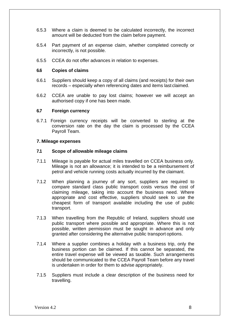- 6.5.3 Where a claim is deemed to be calculated incorrectly, the incorrect amount will be deducted from the claim before payment.
- 6.5.4 Part payment of an expense claim, whether completed correctly or incorrectly, is not possible.
- 6.5.5 CCEA do not offer advances in relation to expenses.

# **6.6 Copies of claims**

- 6.6.1 Suppliers should keep a copy of all claims (and receipts) for their own records – especially when referencing dates and items last claimed.
- 6.6.2 CCEA are unable to pay lost claims; however we will accept an authorised copy if one has been made.

#### **6.7 Foreign currency**

6.7.1 Foreign currency receipts will be converted to sterling at the conversion rate on the day the claim is processed by the CCEA Payroll Team.

#### **7. Mileage expenses**

#### **7.1 Scope of allowable mileage claims**

- 7.1.1 Mileage is payable for actual miles travelled on CCEA business only. Mileage is not an allowance; it is intended to be a reimbursement of petrol and vehicle running costs actually incurred by the claimant.
- 7.1.2 When planning a journey of any sort, suppliers are required to compare standard class public transport costs versus the cost of claiming mileage, taking into account the business need. Where appropriate and cost effective, suppliers should seek to use the cheapest form of transport available including the use of public transport.
- 7.1.3 When travelling from the Republic of Ireland, suppliers should use public transport where possible and appropriate. Where this is not possible, written permission must be sought in advance and only granted after considering the alternative public transport options.
- 7.1.4 Where a supplier combines a holiday with a business trip, only the business portion can be claimed. If this cannot be separated, the entire travel expense will be viewed as taxable. Such arrangements should be communicated to the CCEA Payroll Team before any travel is undertaken in order for them to advise appropriately.
- 7.1.5 Suppliers must include a clear description of the business need for travelling.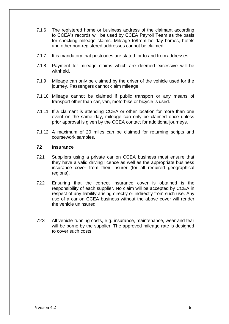- 7.1.6 The registered home or business address of the claimant according to CCEA's records will be used by CCEA Payroll Team as the basis for checking mileage claims. Mileage to/from holiday homes, hotels and other non-registered addresses cannot be claimed.
- 7.1.7 It is mandatory that postcodes are stated for to and from addresses.
- 7.1.8 Payment for mileage claims which are deemed excessive will be withheld.
- 7.1.9 Mileage can only be claimed by the driver of the vehicle used for the journey. Passengers cannot claim mileage.
- 7.1.10 Mileage cannot be claimed if public transport or any means of transport other than car, van, motorbike or bicycle is used.
- 7.1.11 If a claimant is attending CCEA or other location for more than one event on the same day, mileage can only be claimed once unless prior approval is given by the CCEA contact for additional journeys.
- 7.1.12 A maximum of 20 miles can be claimed for returning scripts and coursework samples.

# **7.2 Insurance**

- 7.2.1 Suppliers using a private car on CCEA business must ensure that they have a valid driving licence as well as the appropriate business insurance cover from their insurer (for all required geographical regions).
- 7.2.2 Ensuring that the correct insurance cover is obtained is the responsibility of each supplier. No claim will be accepted by CCEA in respect of any liability arising directly or indirectly from such use. Any use of a car on CCEA business without the above cover will render the vehicle uninsured.
- 7.2.3 All vehicle running costs, e.g. insurance, maintenance, wear and tear will be borne by the supplier. The approved mileage rate is designed to cover such costs.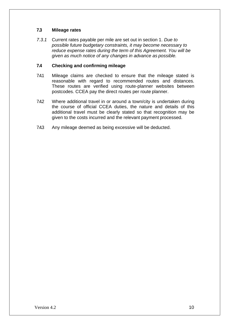# **7.3 Mileage rates**

*7.3.1* Current rates payable per mile are set out in section 1. *Due to possible future budgetary constraints, it may become necessary to reduce expense rates during the term of this Agreement. You will be given as much notice of any changes in advance as possible.*

# **7.4 Checking and confirming mileage**

- 7.4.1 Mileage claims are checked to ensure that the mileage stated is reasonable with regard to recommended routes and distances. These routes are verified using route-planner websites between postcodes. CCEA pay the direct routes per route planner.
- 7.42 Where additional travel in or around a town/city is undertaken during the course of official CCEA duties, the nature and details of this additional travel must be clearly stated so that recognition may be given to the costs incurred and the relevant payment processed.
- 7.4.3 Any mileage deemed as being excessive will be deducted.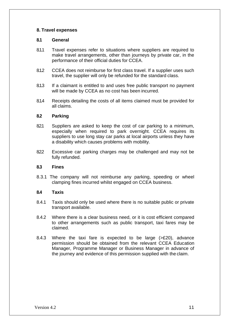# **8. Travel expenses**

# **8.1 General**

- 8.1.1 Travel expenses refer to situations where suppliers are required to make travel arrangements, other than journeys by private car, in the performance of their official duties for CCEA.
- 8.1.2 CCEA does not reimburse for first class travel. If a supplier uses such travel, the supplier will only be refunded for the standard class.
- 8.1.3 If a claimant is entitled to and uses free public transport no payment will be made by CCEA as no cost has been incurred.
- 8.1.4 Receipts detailing the costs of all items claimed must be provided for all claims.

# **8.2 Parking**

- 8.21 Suppliers are asked to keep the cost of car parking to a minimum, especially when required to park overnight. CCEA requires its suppliers to use long stay car parks at local airports unless they have a disability which causes problems with mobility.
- 822 Excessive car parking charges may be challenged and may not be fully refunded.

#### **8.3 Fines**

8.3.1 The company will not reimburse any parking, speeding or wheel clamping fines incurred whilst engaged on CCEA business.

#### **8.4 Taxis**

- 8.4.1 Taxis should only be used where there is no suitable public or private transport available.
- 8.4.2 Where there is a clear business need, or it is cost efficient compared to other arrangements such as public transport, taxi fares may be claimed.
- 8.4.3 Where the taxi fare is expected to be large (>£20), advance permission should be obtained from the relevant CCEA Education Manager, Programme Manager or Business Manager in advance of the journey and evidence of this permission supplied with the claim.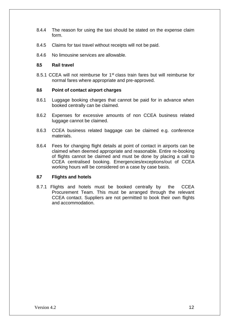- 8.4.4 The reason for using the taxi should be stated on the expense claim form.
- 8.4.5 Claims for taxi travel without receipts will not be paid.
- 8.4.6 No limousine services are allowable.

# **8.5 Rail travel**

8.5.1 CCEA will not reimburse for 1<sup>st</sup> class train fares but will reimburse for normal fares where appropriate and pre-approved.

#### **8.6 Point of contact airport charges**

- 8.6.1 Luggage booking charges that cannot be paid for in advance when booked centrally can be claimed.
- 8.6.2 Expenses for excessive amounts of non CCEA business related luggage cannot be claimed.
- 8.6.3 CCEA business related baggage can be claimed e.g. conference materials.
- 8.6.4 Fees for changing flight details at point of contact in airports can be claimed when deemed appropriate and reasonable. Entire re-booking of flights cannot be claimed and must be done by placing a call to CCEA centralised booking. Emergencies/exceptions/out of CCEA working hours will be considered on a case by case basis.

# **8.7 Flights and hotels**

8.7.1 Flights and hotels must be booked centrally by the CCEA Procurement Team. This must be arranged through the relevant CCEA contact. Suppliers are not permitted to book their own flights and accommodation.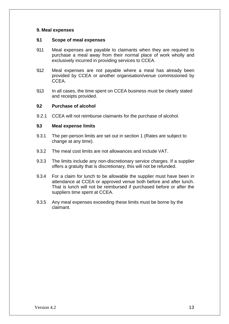# **9. Meal expenses**

#### **9.1 Scope of meal expenses**

- 9.1.1 Meal expenses are payable to claimants when they are required to purchase a meal away from their normal place of work wholly and exclusively incurred in providing services to CCEA.
- 9.1.2 Meal expenses are not payable where a meal has already been provided by CCEA or another organisation/venue commissioned by CCEA.
- 9.1.3 In all cases, the time spent on CCEA business must be clearly stated and receipts provided.

#### **9.2 Purchase of alcohol**

9.2.1 CCEA will not reimburse claimants for the purchase of alcohol.

#### **9.3 Meal expense limits**

- 9.3.1 The per-person limits are set out in section 1 (Rates are subject to change at any time).
- 9.3.2 The meal cost limits are not allowances and include VAT.
- 9.3.3 The limits include any non-discretionary service charges. If a supplier offers a gratuity that is discretionary, this will not be refunded.
- 9.3.4 For a claim for lunch to be allowable the supplier must have been in attendance at CCEA or approved venue both before and after lunch. That is lunch will not be reimbursed if purchased before or after the suppliers time spent at CCEA.
- 9.3.5 Any meal expenses exceeding these limits must be borne by the claimant.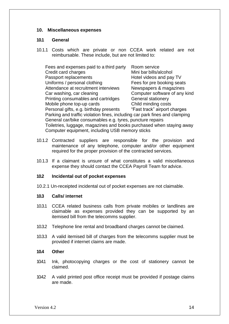#### **10. Miscellaneous expenses**

#### **10.1 General**

10.1.1 Costs which are private or non CCEA work related are not reimbursable. These include, but are not limited to:

| Fees and expenses paid to a third party<br>Credit card charges             | Room service<br>Mini bar bills/alcohol |  |  |  |  |
|----------------------------------------------------------------------------|----------------------------------------|--|--|--|--|
|                                                                            |                                        |  |  |  |  |
| Passport replacements                                                      | Hotel videos and pay TV                |  |  |  |  |
| Uniforms / personal clothing                                               | Fees for pre booking seats             |  |  |  |  |
| Attendance at recruitment interviews                                       | Newspapers & magazines                 |  |  |  |  |
| Car washing, car cleaning                                                  | Computer software of any kind          |  |  |  |  |
| Printing consumables and cartridges                                        | <b>General stationery</b>              |  |  |  |  |
| Mobile phone top-up cards                                                  | Child minding costs                    |  |  |  |  |
| Personal gifts, e.g. birthday presents                                     | "Fast track" airport charges           |  |  |  |  |
| Parking and traffic violation fines, including car park fines and clamping |                                        |  |  |  |  |
| General car/bike consumables e.g. tyres, puncture repairs                  |                                        |  |  |  |  |
| Toiletries, luggage, magazines and books purchased when staying away       |                                        |  |  |  |  |
| Computer equipment, including USB memory sticks                            |                                        |  |  |  |  |

- 10.1.2 Contracted suppliers are responsible for the provision and maintenance of any telephone, computer and/or other equipment required for the proper provision of the contracted services.
- 10.1.3 If a claimant is unsure of what constitutes a valid miscellaneous expense they should contact the CCEA Payroll Team for advice.

#### **10.2 Incidental out of pocket expenses**

10.2.1 Un-receipted incidental out of pocket expenses are not claimable.

# **10.3 Calls/ internet**

- 10.3.1 CCEA related business calls from private mobiles or landlines are claimable as expenses provided they can be supported by an itemised bill from the telecomms supplier.
- 10.3.2 Telephone line rental and broadband charges cannot be claimed.
- 10.3.3 A valid itemised bill of charges from the telecomms supplier must be provided if internet claims are made.

#### **10.4 Other**

- 10.4.1 Ink, photocopying charges or the cost of stationery cannot be claimed.
- 10.42 A valid printed post office receipt must be provided if postage claims are made.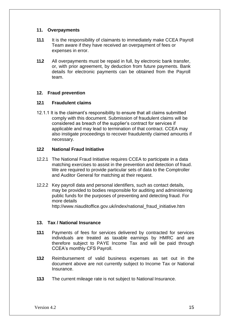# **11. Overpayments**

- **11.1** It is the responsibility of claimants to immediately make CCEA Payroll Team aware if they have received an overpayment of fees or expenses in error.
- **11.2** All overpayments must be repaid in full, by electronic bank transfer, or, with prior agreement, by deduction from future payments. Bank details for electronic payments can be obtained from the Payroll team.

# **12. Fraud prevention**

# **12.1 Fraudulent claims**

12.1.1 It is the claimant's responsibility to ensure that all claims submitted comply with this document. Submission of fraudulent claims will be considered as breach of the supplier's contract for services if applicable and may lead to termination of that contract. CCEA may also instigate proceedings to recover fraudulently claimed amounts if necessary.

## **12.2 National Fraud Initiative**

- 12.2.1 The National Fraud Initiative requires CCEA to participate in a data matching exercises to assist in the prevention and detection of fraud. We are required to provide particular sets of data to the Comptroller and Auditor General for matching at their request.
- 12.2.2 Key payroll data and personal identifiers, such as contact details, may be provided to bodies responsible for auditing and administering public funds for the purposes of preventing and detecting fraud. For more detail[s](http://www.niauditoffice.gov.uk/index/national_fraud_initiative.htm) [http://www.niauditoffice.gov.uk/index/national\\_fraud\\_initiative.htm](http://www.niauditoffice.gov.uk/index/national_fraud_initiative.htm)

#### **13. Tax / National Insurance**

- **13.1** Payments of fees for services delivered by contracted for services individuals are treated as taxable earnings by HMRC and are therefore subject to PAYE Income Tax and will be paid through CCEA's monthly CFS Payroll.
- **13.2** Reimbursement of valid business expenses as set out in the document above are not currently subject to Income Tax or National Insurance.
- **13.3** The current mileage rate is not subject to National Insurance.